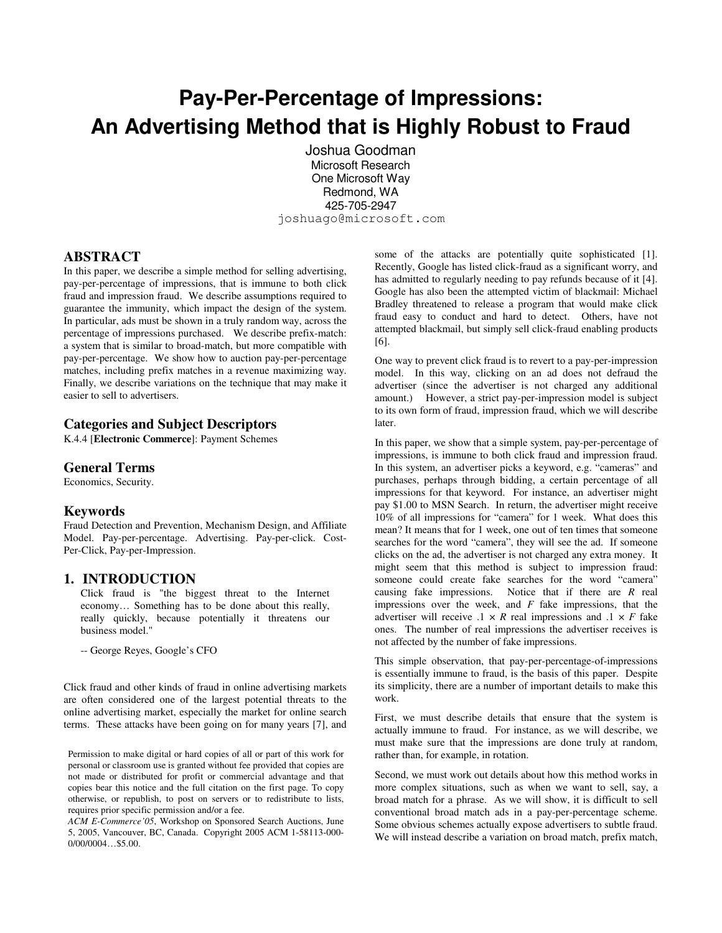# **Pay-Per-Percentage of Impressions: An Advertising Method that is Highly Robust to Fraud**

Joshua Goodman Microsoft Research One Microsoft Way Redmond, WA 425-705-2947 joshuago@microsoft.com

**ABSTRACT**

In this paper, we describe a simple method for selling advertising, pay-per-percentage of impressions, that is immune to both click fraud and impression fraud. We describe assumptions required to guarantee the immunity, which impact the design of the system. In particular, ads must be shown in a truly random way, across the percentage of impressions purchased. We describe prefix-match: a system that is similar to broad-match, but more compatible with pay-per-percentage. We show how to auction pay-per-percentage matches, including prefix matches in a revenue maximizing way. Finally, we describe variations on the technique that may make it easier to sell to advertisers.

#### **Categories and Subject Descriptors**

K.4.4 [**Electronic Commerce**]: Payment Schemes

#### **General Terms**

Economics, Security.

#### **Keywords**

Fraud Detection and Prevention, Mechanism Design, and Affiliate Model. Pay-per-percentage. Advertising. Pay-per-click. Cost-Per-Click, Pay-per-Impression.

#### **1. INTRODUCTION**

Click fraud is "the biggest threat to the Internet economy… Something has to be done about this really, really quickly, because potentially it threatens our business model."

-- George Reyes, Google's CFO

Click fraud and other kinds of fraud in online advertising markets are often considered one of the largest potential threats to the online advertising market, especially the market for online search terms. These attacks have been going on for many years [7], and

Permission to make digital or hard copies of all or part of this work for personal or classroom use is granted without fee provided that copies are not made or distributed for profit or commercial advantage and that copies bear this notice and the full citation on the first page. To copy otherwise, or republish, to post on servers or to redistribute to lists, requires prior specific permission and/or a fee.

*ACM E-Commerce'05*, Workshop on Sponsored Search Auctions, June 5, 2005, Vancouver, BC, Canada. Copyright 2005 ACM 1-58113-000- 0/00/0004…\$5.00.

some of the attacks are potentially quite sophisticated [1]. Recently, Google has listed click-fraud as a significant worry, and has admitted to regularly needing to pay refunds because of it [4]. Google has also been the attempted victim of blackmail: Michael Bradley threatened to release a program that would make click fraud easy to conduct and hard to detect. Others, have not attempted blackmail, but simply sell click-fraud enabling products [6].

One way to prevent click fraud is to revert to a pay-per-impression model. In this way, clicking on an ad does not defraud the advertiser (since the advertiser is not charged any additional amount.) However, a strict pay-per-impression model is subject to its own form of fraud, impression fraud, which we will describe later.

In this paper, we show that a simple system, pay-per-percentage of impressions, is immune to both click fraud and impression fraud. In this system, an advertiser picks a keyword, e.g. "cameras" and purchases, perhaps through bidding, a certain percentage of all impressions for that keyword. For instance, an advertiser might pay \$1.00 to MSN Search. In return, the advertiser might receive 10% of all impressions for "camera" for 1 week. What does this mean? It means that for 1 week, one out of ten times that someone searches for the word "camera", they will see the ad. If someone clicks on the ad, the advertiser is not charged any extra money. It might seem that this method is subject to impression fraud: someone could create fake searches for the word "camera" causing fake impressions. Notice that if there are *R* real impressions over the week, and *F* fake impressions, that the advertiser will receive  $.1 \times R$  real impressions and  $.1 \times F$  fake ones. The number of real impressions the advertiser receives is not affected by the number of fake impressions.

This simple observation, that pay-per-percentage-of-impressions is essentially immune to fraud, is the basis of this paper. Despite its simplicity, there are a number of important details to make this work.

First, we must describe details that ensure that the system is actually immune to fraud. For instance, as we will describe, we must make sure that the impressions are done truly at random, rather than, for example, in rotation.

Second, we must work out details about how this method works in more complex situations, such as when we want to sell, say, a broad match for a phrase. As we will show, it is difficult to sell conventional broad match ads in a pay-per-percentage scheme. Some obvious schemes actually expose advertisers to subtle fraud. We will instead describe a variation on broad match, prefix match,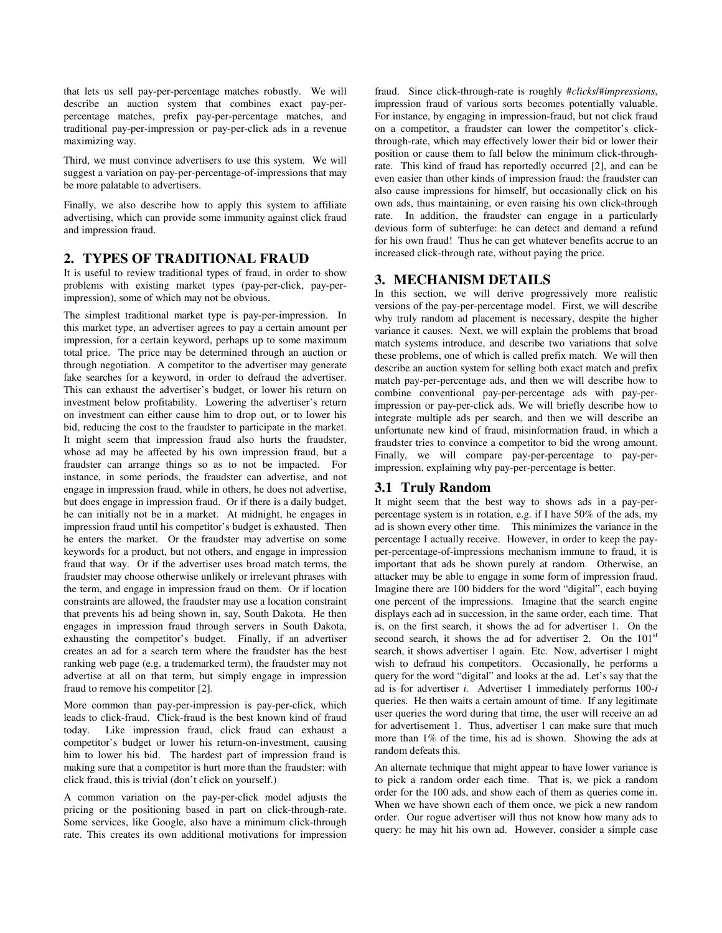that lets us sell pay-per-percentage matches robustly. We will describe an auction system that combines exact pay-perpercentage matches, prefix pay-per-percentage matches, and traditional pay-per-impression or pay-per-click ads in a revenue maximizing way.

Third, we must convince advertisers to use this system. We will suggest a variation on pay-per-percentage-of-impressions that may be more palatable to advertisers.

Finally, we also describe how to apply this system to affiliate advertising, which can provide some immunity against click fraud and impression fraud.

#### **2. TYPES OF TRADITIONAL FRAUD**

It is useful to review traditional types of fraud, in order to show problems with existing market types (pay-per-click, pay-perimpression), some of which may not be obvious.

The simplest traditional market type is pay-per-impression. In this market type, an advertiser agrees to pay a certain amount per impression, for a certain keyword, perhaps up to some maximum total price. The price may be determined through an auction or through negotiation. A competitor to the advertiser may generate fake searches for a keyword, in order to defraud the advertiser. This can exhaust the advertiser's budget, or lower his return on investment below profitability. Lowering the advertiser's return on investment can either cause him to drop out, or to lower his bid, reducing the cost to the fraudster to participate in the market. It might seem that impression fraud also hurts the fraudster, whose ad may be affected by his own impression fraud, but a fraudster can arrange things so as to not be impacted. For instance, in some periods, the fraudster can advertise, and not engage in impression fraud, while in others, he does not advertise, but does engage in impression fraud. Or if there is a daily budget, he can initially not be in a market. At midnight, he engages in impression fraud until his competitor's budget is exhausted. Then he enters the market. Or the fraudster may advertise on some keywords for a product, but not others, and engage in impression fraud that way. Or if the advertiser uses broad match terms, the fraudster may choose otherwise unlikely or irrelevant phrases with the term, and engage in impression fraud on them. Or if location constraints are allowed, the fraudster may use a location constraint that prevents his ad being shown in, say, South Dakota. He then engages in impression fraud through servers in South Dakota, exhausting the competitor's budget. Finally, if an advertiser creates an ad for a search term where the fraudster has the best ranking web page (e.g. a trademarked term), the fraudster may not advertise at all on that term, but simply engage in impression fraud to remove his competitor [2].

More common than pay-per-impression is pay-per-click, which leads to click-fraud. Click-fraud is the best known kind of fraud today. Like impression fraud, click fraud can exhaust a competitor's budget or lower his return-on-investment, causing him to lower his bid. The hardest part of impression fraud is making sure that a competitor is hurt more than the fraudster: with click fraud, this is trivial (don't click on yourself.)

A common variation on the pay-per-click model adjusts the pricing or the positioning based in part on click-through-rate. Some services, like Google, also have a minimum click-through rate. This creates its own additional motivations for impression fraud. Since click-through-rate is roughly #*clicks*/#*impressions*, impression fraud of various sorts becomes potentially valuable. For instance, by engaging in impression-fraud, but not click fraud on a competitor, a fraudster can lower the competitor's clickthrough-rate, which may effectively lower their bid or lower their position or cause them to fall below the minimum click-throughrate. This kind of fraud has reportedly occurred [2], and can be even easier than other kinds of impression fraud: the fraudster can also cause impressions for himself, but occasionally click on his own ads, thus maintaining, or even raising his own click-through rate. In addition, the fraudster can engage in a particularly devious form of subterfuge: he can detect and demand a refund for his own fraud! Thus he can get whatever benefits accrue to an increased click-through rate, without paying the price.

## **3. MECHANISM DETAILS**

In this section, we will derive progressively more realistic versions of the pay-per-percentage model. First, we will describe why truly random ad placement is necessary, despite the higher variance it causes. Next, we will explain the problems that broad match systems introduce, and describe two variations that solve these problems, one of which is called prefix match. We will then describe an auction system for selling both exact match and prefix match pay-per-percentage ads, and then we will describe how to combine conventional pay-per-percentage ads with pay-perimpression or pay-per-click ads. We will briefly describe how to integrate multiple ads per search, and then we will describe an unfortunate new kind of fraud, misinformation fraud, in which a fraudster tries to convince a competitor to bid the wrong amount. Finally, we will compare pay-per-percentage to pay-perimpression, explaining why pay-per-percentage is better.

#### **3.1 Truly Random**

It might seem that the best way to shows ads in a pay-perpercentage system is in rotation, e.g. if I have 50% of the ads, my ad is shown every other time. This minimizes the variance in the percentage I actually receive. However, in order to keep the payper-percentage-of-impressions mechanism immune to fraud, it is important that ads be shown purely at random. Otherwise, an attacker may be able to engage in some form of impression fraud. Imagine there are 100 bidders for the word "digital", each buying one percent of the impressions. Imagine that the search engine displays each ad in succession, in the same order, each time. That is, on the first search, it shows the ad for advertiser 1. On the second search, it shows the ad for advertiser 2. On the 101<sup>st</sup> search, it shows advertiser 1 again. Etc. Now, advertiser 1 might wish to defraud his competitors. Occasionally, he performs a query for the word "digital" and looks at the ad. Let's say that the ad is for advertiser *i.* Advertiser 1 immediately performs 100-*i* queries. He then waits a certain amount of time. If any legitimate user queries the word during that time, the user will receive an ad for advertisement 1. Thus, advertiser 1 can make sure that much more than 1% of the time, his ad is shown. Showing the ads at random defeats this.

An alternate technique that might appear to have lower variance is to pick a random order each time. That is, we pick a random order for the 100 ads, and show each of them as queries come in. When we have shown each of them once, we pick a new random order. Our rogue advertiser will thus not know how many ads to query: he may hit his own ad. However, consider a simple case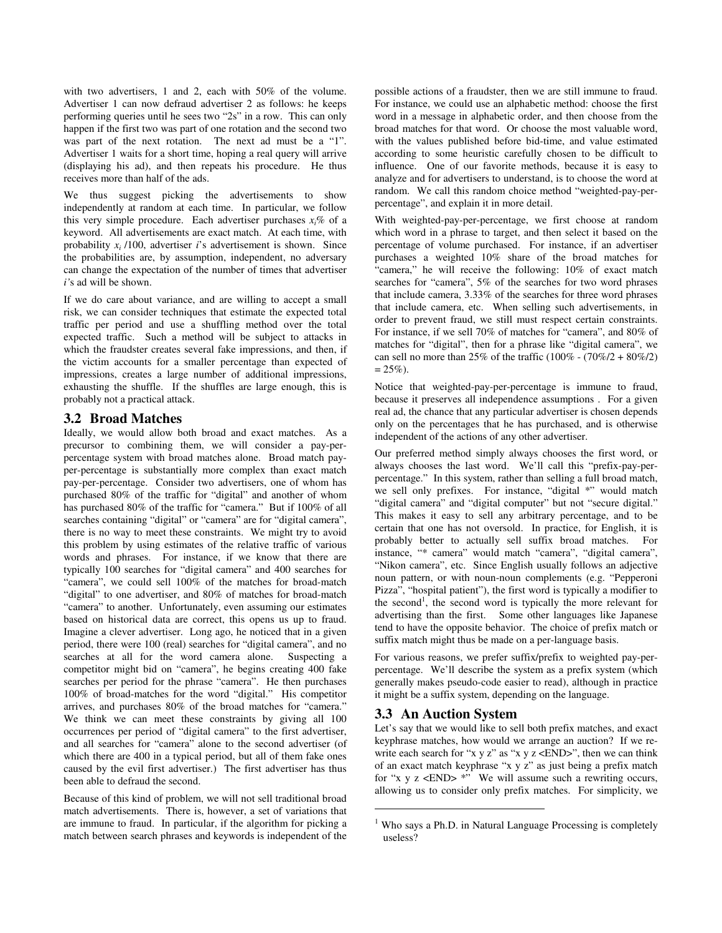with two advertisers, 1 and 2, each with 50% of the volume. Advertiser 1 can now defraud advertiser 2 as follows: he keeps performing queries until he sees two "2s" in a row. This can only happen if the first two was part of one rotation and the second two was part of the next rotation. The next ad must be a "1". Advertiser 1 waits for a short time, hoping a real query will arrive (displaying his ad), and then repeats his procedure. He thus receives more than half of the ads.

We thus suggest picking the advertisements to show independently at random at each time. In particular, we follow this very simple procedure. Each advertiser purchases  $x_i$ % of a keyword. All advertisements are exact match. At each time, with probability *x<sup>i</sup>* /100, advertiser *i*'s advertisement is shown. Since the probabilities are, by assumption, independent, no adversary can change the expectation of the number of times that advertiser *i'*s ad will be shown.

If we do care about variance, and are willing to accept a small risk, we can consider techniques that estimate the expected total traffic per period and use a shuffling method over the total expected traffic. Such a method will be subject to attacks in which the fraudster creates several fake impressions, and then, if the victim accounts for a smaller percentage than expected of impressions, creates a large number of additional impressions, exhausting the shuffle. If the shuffles are large enough, this is probably not a practical attack.

## **3.2 Broad Matches**

Ideally, we would allow both broad and exact matches. As a precursor to combining them, we will consider a pay-perpercentage system with broad matches alone. Broad match payper-percentage is substantially more complex than exact match pay-per-percentage. Consider two advertisers, one of whom has purchased 80% of the traffic for "digital" and another of whom has purchased 80% of the traffic for "camera." But if 100% of all searches containing "digital" or "camera" are for "digital camera", there is no way to meet these constraints. We might try to avoid this problem by using estimates of the relative traffic of various words and phrases. For instance, if we know that there are typically 100 searches for "digital camera" and 400 searches for "camera", we could sell 100% of the matches for broad-match "digital" to one advertiser, and 80% of matches for broad-match "camera" to another. Unfortunately, even assuming our estimates based on historical data are correct, this opens us up to fraud. Imagine a clever advertiser. Long ago, he noticed that in a given period, there were 100 (real) searches for "digital camera", and no searches at all for the word camera alone. Suspecting a competitor might bid on "camera", he begins creating 400 fake searches per period for the phrase "camera". He then purchases 100% of broad-matches for the word "digital." His competitor arrives, and purchases 80% of the broad matches for "camera." We think we can meet these constraints by giving all 100 occurrences per period of "digital camera" to the first advertiser, and all searches for "camera" alone to the second advertiser (of which there are 400 in a typical period, but all of them fake ones caused by the evil first advertiser.) The first advertiser has thus been able to defraud the second.

Because of this kind of problem, we will not sell traditional broad match advertisements. There is, however, a set of variations that are immune to fraud. In particular, if the algorithm for picking a match between search phrases and keywords is independent of the

possible actions of a fraudster, then we are still immune to fraud. For instance, we could use an alphabetic method: choose the first word in a message in alphabetic order, and then choose from the broad matches for that word. Or choose the most valuable word, with the values published before bid-time, and value estimated according to some heuristic carefully chosen to be difficult to influence. One of our favorite methods, because it is easy to analyze and for advertisers to understand, is to choose the word at random. We call this random choice method "weighted-pay-perpercentage", and explain it in more detail.

With weighted-pay-per-percentage, we first choose at random which word in a phrase to target, and then select it based on the percentage of volume purchased. For instance, if an advertiser purchases a weighted 10% share of the broad matches for "camera," he will receive the following: 10% of exact match searches for "camera", 5% of the searches for two word phrases that include camera, 3.33% of the searches for three word phrases that include camera, etc. When selling such advertisements, in order to prevent fraud, we still must respect certain constraints. For instance, if we sell 70% of matches for "camera", and 80% of matches for "digital", then for a phrase like "digital camera", we can sell no more than 25% of the traffic  $(100\% - (70\%)/2 + 80\%)$  $= 25\%$ ).

Notice that weighted-pay-per-percentage is immune to fraud, because it preserves all independence assumptions . For a given real ad, the chance that any particular advertiser is chosen depends only on the percentages that he has purchased, and is otherwise independent of the actions of any other advertiser.

Our preferred method simply always chooses the first word, or always chooses the last word. We'll call this "prefix-pay-perpercentage." In this system, rather than selling a full broad match, we sell only prefixes. For instance, "digital \*" would match "digital camera" and "digital computer" but not "secure digital." This makes it easy to sell any arbitrary percentage, and to be certain that one has not oversold. In practice, for English, it is probably better to actually sell suffix broad matches. For instance, "\* camera" would match "camera", "digital camera", "Nikon camera", etc. Since English usually follows an adjective noun pattern, or with noun-noun complements (e.g. "Pepperoni Pizza", "hospital patient"), the first word is typically a modifier to the second<sup>1</sup>, the second word is typically the more relevant for advertising than the first. Some other languages like Japanese tend to have the opposite behavior. The choice of prefix match or suffix match might thus be made on a per-language basis.

For various reasons, we prefer suffix/prefix to weighted pay-perpercentage. We'll describe the system as a prefix system (which generally makes pseudo-code easier to read), although in practice it might be a suffix system, depending on the language.

#### **3.3 An Auction System**

Let's say that we would like to sell both prefix matches, and exact keyphrase matches, how would we arrange an auction? If we rewrite each search for "x y z" as "x y z  $\langle$ END>", then we can think of an exact match keyphrase "x y z" as just being a prefix match for "x y z  $\langle$  END $\rangle$  \*" We will assume such a rewriting occurs, allowing us to consider only prefix matches. For simplicity, we

 $1$  Who says a Ph.D. in Natural Language Processing is completely useless?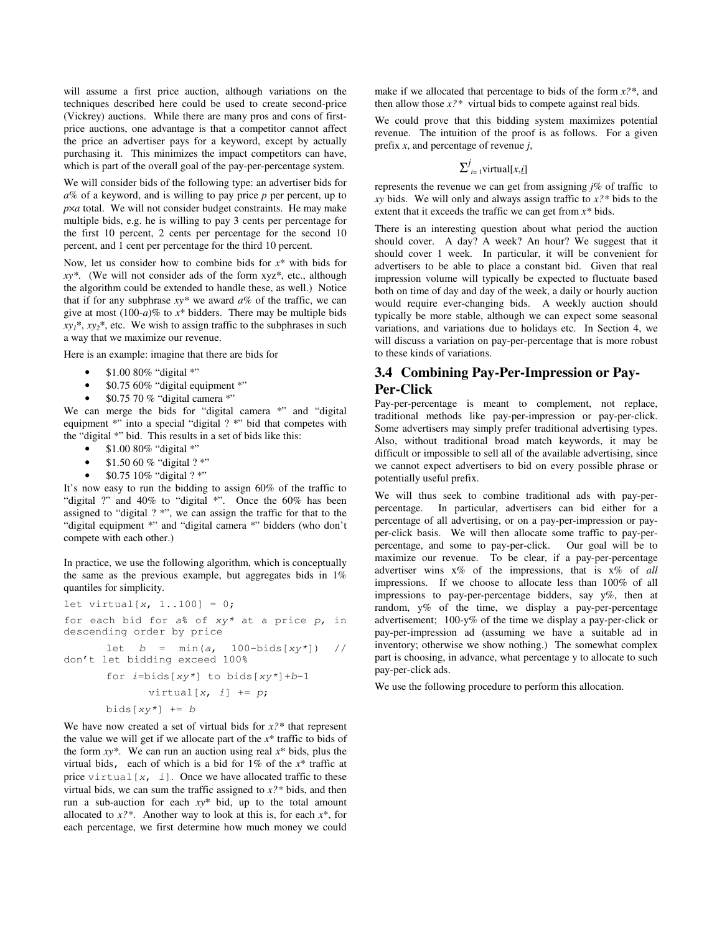will assume a first price auction, although variations on the techniques described here could be used to create second-price (Vickrey) auctions. While there are many pros and cons of firstprice auctions, one advantage is that a competitor cannot affect the price an advertiser pays for a keyword, except by actually purchasing it. This minimizes the impact competitors can have, which is part of the overall goal of the pay-per-percentage system.

We will consider bids of the following type: an advertiser bids for *a*% of a keyword, and is willing to pay price *p* per percent, up to  $p \times a$  total. We will not consider budget constraints. He may make multiple bids, e.g. he is willing to pay 3 cents per percentage for the first 10 percent, 2 cents per percentage for the second 10 percent, and 1 cent per percentage for the third 10 percent.

Now, let us consider how to combine bids for *x*\* with bids for *xy\**. (We will not consider ads of the form xyz\*, etc., although the algorithm could be extended to handle these, as well.) Notice that if for any subphrase  $xy^*$  we award  $a\%$  of the traffic, we can give at most  $(100-a)\%$  to  $x^*$  bidders. There may be multiple bids  $xy_1^*$ ,  $xy_2^*$ , etc. We wish to assign traffic to the subphrases in such a way that we maximize our revenue.

Here is an example: imagine that there are bids for

- \$1.00 80% "digital \*"
- $$0.7560\%$  "digital equipment \*"
- \$0.75 70 % "digital camera \*"

We can merge the bids for "digital camera \*" and "digital" equipment \*" into a special "digital ? \*" bid that competes with the "digital \*" bid. This results in a set of bids like this:

- $$1.0080\%$  "digital \*"
- $$1.5060\%$  "digital ? \*"
- \$0.75 10% "digital ? \*"

It's now easy to run the bidding to assign 60% of the traffic to "digital ?" and 40% to "digital \*". Once the 60% has been assigned to "digital ? \*", we can assign the traffic for that to the "digital equipment \*" and "digital camera \*" bidders (who don't compete with each other.)

In practice, we use the following algorithm, which is conceptually the same as the previous example, but aggregates bids in 1% quantiles for simplicity.

$$
let virtual[x, 1..100] = 0;
$$

for each bid for *a*% of *xy\** at a price *p,* in descending order by price

let *b* = min(*a*, 100-bids[*xy\**]) // don't let bidding exceed 100%

for 
$$
i
$$
=bids[xy\*] to bids[xy\*]+b-1  
virtual[x, i] += p;  
bids[xy\*] += b

We have now created a set of virtual bids for *x?\** that represent the value we will get if we allocate part of the *x*\* traffic to bids of the form  $xy^*$ . We can run an auction using real  $x^*$  bids, plus the virtual bids, each of which is a bid for 1% of the *x*\* traffic at price virtual[*x*, *i*]. Once we have allocated traffic to these virtual bids, we can sum the traffic assigned to *x?\** bids, and then run a sub-auction for each *xy*\* bid, up to the total amount allocated to *x?\**. Another way to look at this is, for each *x*\*, for each percentage, we first determine how much money we could make if we allocated that percentage to bids of the form *x?\**, and then allow those  $x$ <sup>2\*</sup> virtual bids to compete against real bids.

We could prove that this bidding system maximizes potential revenue. The intuition of the proof is as follows. For a given prefix *x*, and percentage of revenue *j*,

# $\sum_{i=1}^{j}$ virtual[*x*,*i*]

represents the revenue we can get from assigning *j*% of traffic to *xy* bids. We will only and always assign traffic to *x?\** bids to the extent that it exceeds the traffic we can get from *x\** bids.

There is an interesting question about what period the auction should cover. A day? A week? An hour? We suggest that it should cover 1 week. In particular, it will be convenient for advertisers to be able to place a constant bid. Given that real impression volume will typically be expected to fluctuate based both on time of day and day of the week, a daily or hourly auction would require ever-changing bids. A weekly auction should typically be more stable, although we can expect some seasonal variations, and variations due to holidays etc. In Section 4, we will discuss a variation on pay-per-percentage that is more robust to these kinds of variations.

## **3.4 Combining Pay-Per-Impression or Pay-Per-Click**

Pay-per-percentage is meant to complement, not replace, traditional methods like pay-per-impression or pay-per-click. Some advertisers may simply prefer traditional advertising types. Also, without traditional broad match keywords, it may be difficult or impossible to sell all of the available advertising, since we cannot expect advertisers to bid on every possible phrase or potentially useful prefix.

We will thus seek to combine traditional ads with pay-perpercentage. In particular, advertisers can bid either for a percentage of all advertising, or on a pay-per-impression or payper-click basis. We will then allocate some traffic to pay-perpercentage, and some to pay-per-click. Our goal will be to maximize our revenue. To be clear, if a pay-per-percentage advertiser wins x% of the impressions, that is x% of *all* impressions. If we choose to allocate less than 100% of all impressions to pay-per-percentage bidders, say y%, then at random, y% of the time, we display a pay-per-percentage advertisement; 100-y% of the time we display a pay-per-click or pay-per-impression ad (assuming we have a suitable ad in inventory; otherwise we show nothing.) The somewhat complex part is choosing, in advance, what percentage y to allocate to such pay-per-click ads.

We use the following procedure to perform this allocation.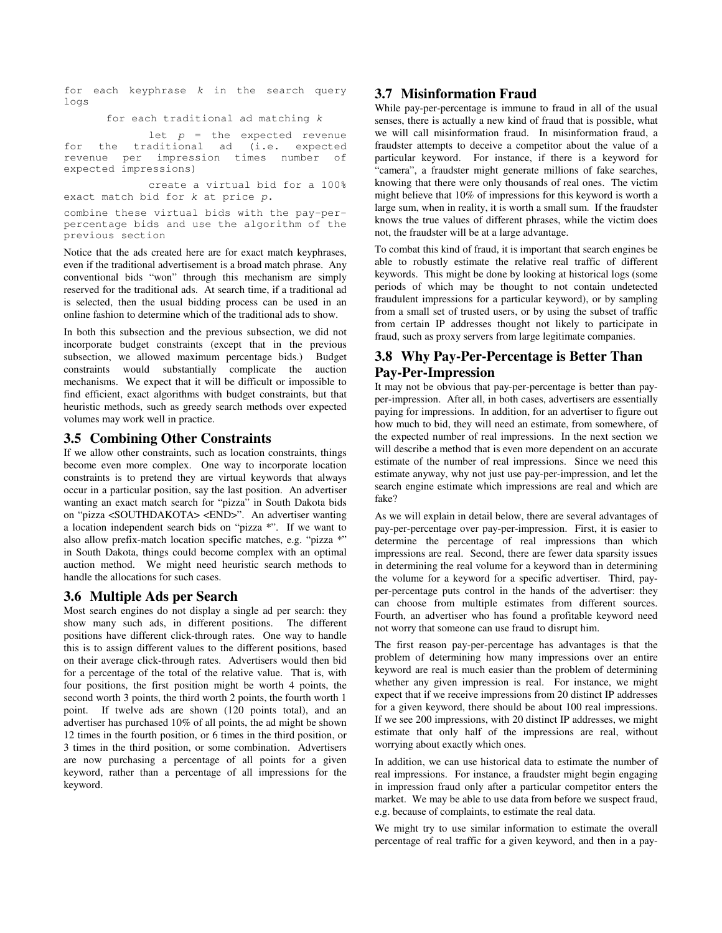for each keyphrase *k* in the search query logs

for each traditional ad matching *k*

let *p* = the expected revenue for the traditional ad (i.e. expected revenue per impression times number of expected impressions)

create a virtual bid for a 100% exact match bid for *k* at price *p*.

combine these virtual bids with the pay-perpercentage bids and use the algorithm of the previous section

Notice that the ads created here are for exact match keyphrases, even if the traditional advertisement is a broad match phrase. Any conventional bids "won" through this mechanism are simply reserved for the traditional ads. At search time, if a traditional ad is selected, then the usual bidding process can be used in an online fashion to determine which of the traditional ads to show.

In both this subsection and the previous subsection, we did not incorporate budget constraints (except that in the previous subsection, we allowed maximum percentage bids.) Budget constraints would substantially complicate the auction mechanisms. We expect that it will be difficult or impossible to find efficient, exact algorithms with budget constraints, but that heuristic methods, such as greedy search methods over expected volumes may work well in practice.

## **3.5 Combining Other Constraints**

If we allow other constraints, such as location constraints, things become even more complex. One way to incorporate location constraints is to pretend they are virtual keywords that always occur in a particular position, say the last position. An advertiser wanting an exact match search for "pizza" in South Dakota bids on "pizza <SOUTHDAKOTA> <END>". An advertiser wanting a location independent search bids on "pizza \*". If we want to also allow prefix-match location specific matches, e.g. "pizza \*" in South Dakota, things could become complex with an optimal auction method. We might need heuristic search methods to handle the allocations for such cases.

## **3.6 Multiple Ads per Search**

Most search engines do not display a single ad per search: they show many such ads, in different positions. The different positions have different click-through rates. One way to handle this is to assign different values to the different positions, based on their average click-through rates. Advertisers would then bid for a percentage of the total of the relative value. That is, with four positions, the first position might be worth 4 points, the second worth 3 points, the third worth 2 points, the fourth worth 1 point. If twelve ads are shown (120 points total), and an advertiser has purchased 10% of all points, the ad might be shown 12 times in the fourth position, or 6 times in the third position, or 3 times in the third position, or some combination. Advertisers are now purchasing a percentage of all points for a given keyword, rather than a percentage of all impressions for the keyword.

## **3.7 Misinformation Fraud**

While pay-per-percentage is immune to fraud in all of the usual senses, there is actually a new kind of fraud that is possible, what we will call misinformation fraud. In misinformation fraud, a fraudster attempts to deceive a competitor about the value of a particular keyword. For instance, if there is a keyword for "camera", a fraudster might generate millions of fake searches, knowing that there were only thousands of real ones. The victim might believe that 10% of impressions for this keyword is worth a large sum, when in reality, it is worth a small sum. If the fraudster knows the true values of different phrases, while the victim does not, the fraudster will be at a large advantage.

To combat this kind of fraud, it is important that search engines be able to robustly estimate the relative real traffic of different keywords. This might be done by looking at historical logs (some periods of which may be thought to not contain undetected fraudulent impressions for a particular keyword), or by sampling from a small set of trusted users, or by using the subset of traffic from certain IP addresses thought not likely to participate in fraud, such as proxy servers from large legitimate companies.

## **3.8 Why Pay-Per-Percentage is Better Than Pay-Per-Impression**

It may not be obvious that pay-per-percentage is better than payper-impression. After all, in both cases, advertisers are essentially paying for impressions. In addition, for an advertiser to figure out how much to bid, they will need an estimate, from somewhere, of the expected number of real impressions. In the next section we will describe a method that is even more dependent on an accurate estimate of the number of real impressions. Since we need this estimate anyway, why not just use pay-per-impression, and let the search engine estimate which impressions are real and which are fake?

As we will explain in detail below, there are several advantages of pay-per-percentage over pay-per-impression. First, it is easier to determine the percentage of real impressions than which impressions are real. Second, there are fewer data sparsity issues in determining the real volume for a keyword than in determining the volume for a keyword for a specific advertiser. Third, payper-percentage puts control in the hands of the advertiser: they can choose from multiple estimates from different sources. Fourth, an advertiser who has found a profitable keyword need not worry that someone can use fraud to disrupt him.

The first reason pay-per-percentage has advantages is that the problem of determining how many impressions over an entire keyword are real is much easier than the problem of determining whether any given impression is real. For instance, we might expect that if we receive impressions from 20 distinct IP addresses for a given keyword, there should be about 100 real impressions. If we see 200 impressions, with 20 distinct IP addresses, we might estimate that only half of the impressions are real, without worrying about exactly which ones.

In addition, we can use historical data to estimate the number of real impressions. For instance, a fraudster might begin engaging in impression fraud only after a particular competitor enters the market. We may be able to use data from before we suspect fraud, e.g. because of complaints, to estimate the real data.

We might try to use similar information to estimate the overall percentage of real traffic for a given keyword, and then in a pay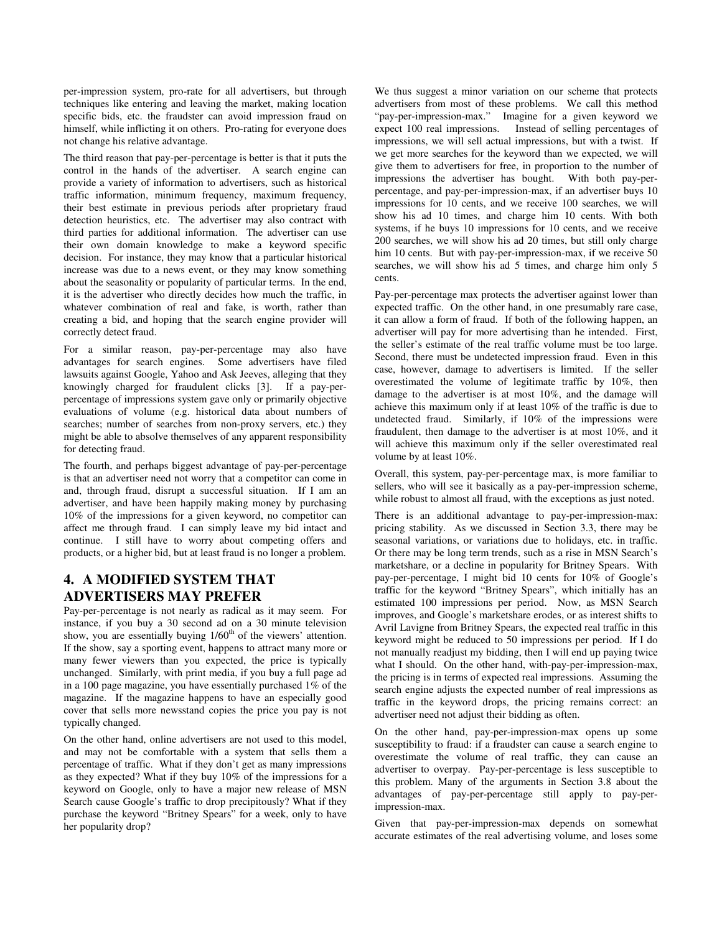per-impression system, pro-rate for all advertisers, but through techniques like entering and leaving the market, making location specific bids, etc. the fraudster can avoid impression fraud on himself, while inflicting it on others. Pro-rating for everyone does not change his relative advantage.

The third reason that pay-per-percentage is better is that it puts the control in the hands of the advertiser. A search engine can provide a variety of information to advertisers, such as historical traffic information, minimum frequency, maximum frequency, their best estimate in previous periods after proprietary fraud detection heuristics, etc. The advertiser may also contract with third parties for additional information. The advertiser can use their own domain knowledge to make a keyword specific decision. For instance, they may know that a particular historical increase was due to a news event, or they may know something about the seasonality or popularity of particular terms. In the end, it is the advertiser who directly decides how much the traffic, in whatever combination of real and fake, is worth, rather than creating a bid, and hoping that the search engine provider will correctly detect fraud.

For a similar reason, pay-per-percentage may also have advantages for search engines. Some advertisers have filed lawsuits against Google, Yahoo and Ask Jeeves, alleging that they knowingly charged for fraudulent clicks [3]. If a pay-perpercentage of impressions system gave only or primarily objective evaluations of volume (e.g. historical data about numbers of searches; number of searches from non-proxy servers, etc.) they might be able to absolve themselves of any apparent responsibility for detecting fraud.

The fourth, and perhaps biggest advantage of pay-per-percentage is that an advertiser need not worry that a competitor can come in and, through fraud, disrupt a successful situation. If I am an advertiser, and have been happily making money by purchasing 10% of the impressions for a given keyword, no competitor can affect me through fraud. I can simply leave my bid intact and continue. I still have to worry about competing offers and products, or a higher bid, but at least fraud is no longer a problem.

# **4. A MODIFIED SYSTEM THAT ADVERTISERS MAY PREFER**

Pay-per-percentage is not nearly as radical as it may seem. For instance, if you buy a 30 second ad on a 30 minute television show, you are essentially buying 1/60<sup>th</sup> of the viewers' attention. If the show, say a sporting event, happens to attract many more or many fewer viewers than you expected, the price is typically unchanged. Similarly, with print media, if you buy a full page ad in a 100 page magazine, you have essentially purchased 1% of the magazine. If the magazine happens to have an especially good cover that sells more newsstand copies the price you pay is not typically changed.

On the other hand, online advertisers are not used to this model, and may not be comfortable with a system that sells them a percentage of traffic. What if they don't get as many impressions as they expected? What if they buy 10% of the impressions for a keyword on Google, only to have a major new release of MSN Search cause Google's traffic to drop precipitously? What if they purchase the keyword "Britney Spears" for a week, only to have her popularity drop?

We thus suggest a minor variation on our scheme that protects advertisers from most of these problems. We call this method "pay-per-impression-max." Imagine for a given keyword we expect 100 real impressions. Instead of selling percentages of impressions, we will sell actual impressions, but with a twist. If we get more searches for the keyword than we expected, we will give them to advertisers for free, in proportion to the number of impressions the advertiser has bought. With both pay-perpercentage, and pay-per-impression-max, if an advertiser buys 10 impressions for 10 cents, and we receive 100 searches, we will show his ad 10 times, and charge him 10 cents. With both systems, if he buys 10 impressions for 10 cents, and we receive 200 searches, we will show his ad 20 times, but still only charge him 10 cents. But with pay-per-impression-max, if we receive 50 searches, we will show his ad 5 times, and charge him only 5 cents.

Pay-per-percentage max protects the advertiser against lower than expected traffic. On the other hand, in one presumably rare case, it can allow a form of fraud. If both of the following happen, an advertiser will pay for more advertising than he intended. First, the seller's estimate of the real traffic volume must be too large. Second, there must be undetected impression fraud. Even in this case, however, damage to advertisers is limited. If the seller overestimated the volume of legitimate traffic by 10%, then damage to the advertiser is at most 10%, and the damage will achieve this maximum only if at least 10% of the traffic is due to undetected fraud. Similarly, if 10% of the impressions were fraudulent, then damage to the advertiser is at most 10%, and it will achieve this maximum only if the seller overestimated real volume by at least 10%.

Overall, this system, pay-per-percentage max, is more familiar to sellers, who will see it basically as a pay-per-impression scheme, while robust to almost all fraud, with the exceptions as just noted.

There is an additional advantage to pay-per-impression-max: pricing stability. As we discussed in Section 3.3, there may be seasonal variations, or variations due to holidays, etc. in traffic. Or there may be long term trends, such as a rise in MSN Search's marketshare, or a decline in popularity for Britney Spears. With pay-per-percentage, I might bid 10 cents for 10% of Google's traffic for the keyword "Britney Spears", which initially has an estimated 100 impressions per period. Now, as MSN Search improves, and Google's marketshare erodes, or as interest shifts to Avril Lavigne from Britney Spears, the expected real traffic in this keyword might be reduced to 50 impressions per period. If I do not manually readjust my bidding, then I will end up paying twice what I should. On the other hand, with-pay-per-impression-max, the pricing is in terms of expected real impressions. Assuming the search engine adjusts the expected number of real impressions as traffic in the keyword drops, the pricing remains correct: an advertiser need not adjust their bidding as often.

On the other hand, pay-per-impression-max opens up some susceptibility to fraud: if a fraudster can cause a search engine to overestimate the volume of real traffic, they can cause an advertiser to overpay. Pay-per-percentage is less susceptible to this problem. Many of the arguments in Section 3.8 about the advantages of pay-per-percentage still apply to pay-perimpression-max.

Given that pay-per-impression-max depends on somewhat accurate estimates of the real advertising volume, and loses some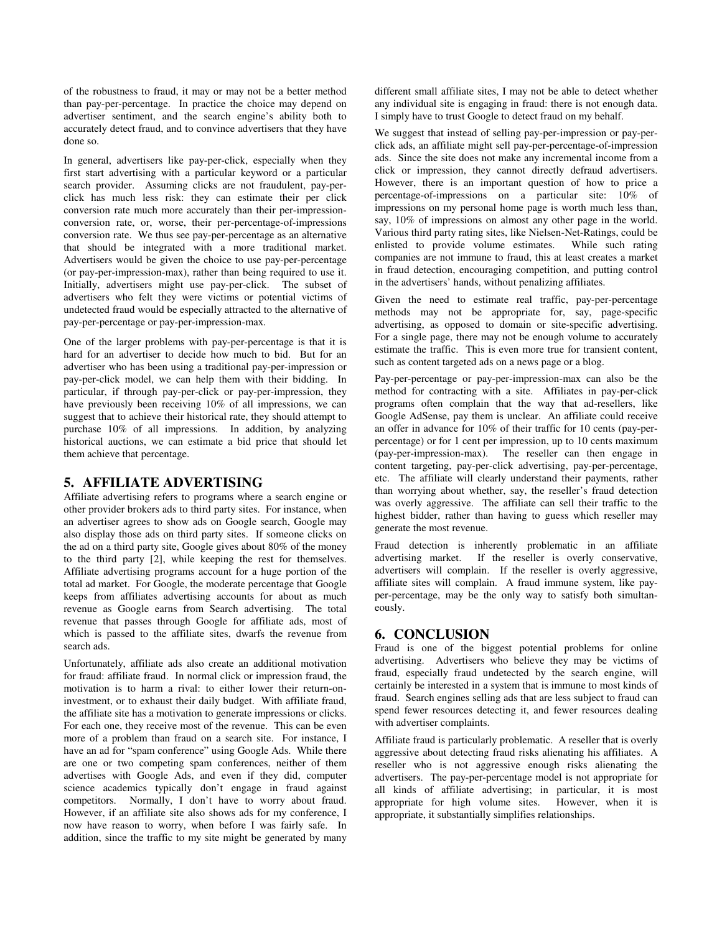of the robustness to fraud, it may or may not be a better method than pay-per-percentage. In practice the choice may depend on advertiser sentiment, and the search engine's ability both to accurately detect fraud, and to convince advertisers that they have done so.

In general, advertisers like pay-per-click, especially when they first start advertising with a particular keyword or a particular search provider. Assuming clicks are not fraudulent, pay-perclick has much less risk: they can estimate their per click conversion rate much more accurately than their per-impressionconversion rate, or, worse, their per-percentage-of-impressions conversion rate. We thus see pay-per-percentage as an alternative that should be integrated with a more traditional market. Advertisers would be given the choice to use pay-per-percentage (or pay-per-impression-max), rather than being required to use it. Initially, advertisers might use pay-per-click. The subset of advertisers who felt they were victims or potential victims of undetected fraud would be especially attracted to the alternative of pay-per-percentage or pay-per-impression-max.

One of the larger problems with pay-per-percentage is that it is hard for an advertiser to decide how much to bid. But for an advertiser who has been using a traditional pay-per-impression or pay-per-click model, we can help them with their bidding. In particular, if through pay-per-click or pay-per-impression, they have previously been receiving 10% of all impressions, we can suggest that to achieve their historical rate, they should attempt to purchase 10% of all impressions. In addition, by analyzing historical auctions, we can estimate a bid price that should let them achieve that percentage.

## **5. AFFILIATE ADVERTISING**

Affiliate advertising refers to programs where a search engine or other provider brokers ads to third party sites. For instance, when an advertiser agrees to show ads on Google search, Google may also display those ads on third party sites. If someone clicks on the ad on a third party site, Google gives about 80% of the money to the third party [2], while keeping the rest for themselves. Affiliate advertising programs account for a huge portion of the total ad market. For Google, the moderate percentage that Google keeps from affiliates advertising accounts for about as much revenue as Google earns from Search advertising. The total revenue that passes through Google for affiliate ads, most of which is passed to the affiliate sites, dwarfs the revenue from search ads.

Unfortunately, affiliate ads also create an additional motivation for fraud: affiliate fraud. In normal click or impression fraud, the motivation is to harm a rival: to either lower their return-oninvestment, or to exhaust their daily budget. With affiliate fraud, the affiliate site has a motivation to generate impressions or clicks. For each one, they receive most of the revenue. This can be even more of a problem than fraud on a search site. For instance, I have an ad for "spam conference" using Google Ads. While there are one or two competing spam conferences, neither of them advertises with Google Ads, and even if they did, computer science academics typically don't engage in fraud against competitors. Normally, I don't have to worry about fraud. However, if an affiliate site also shows ads for my conference, I now have reason to worry, when before I was fairly safe. In addition, since the traffic to my site might be generated by many

different small affiliate sites, I may not be able to detect whether any individual site is engaging in fraud: there is not enough data. I simply have to trust Google to detect fraud on my behalf.

We suggest that instead of selling pay-per-impression or pay-perclick ads, an affiliate might sell pay-per-percentage-of-impression ads. Since the site does not make any incremental income from a click or impression, they cannot directly defraud advertisers. However, there is an important question of how to price a percentage-of-impressions on a particular site: 10% of impressions on my personal home page is worth much less than, say, 10% of impressions on almost any other page in the world. Various third party rating sites, like Nielsen-Net-Ratings, could be enlisted to provide volume estimates. While such rating companies are not immune to fraud, this at least creates a market in fraud detection, encouraging competition, and putting control in the advertisers' hands, without penalizing affiliates.

Given the need to estimate real traffic, pay-per-percentage methods may not be appropriate for, say, page-specific advertising, as opposed to domain or site-specific advertising. For a single page, there may not be enough volume to accurately estimate the traffic. This is even more true for transient content, such as content targeted ads on a news page or a blog.

Pay-per-percentage or pay-per-impression-max can also be the method for contracting with a site. Affiliates in pay-per-click programs often complain that the way that ad-resellers, like Google AdSense, pay them is unclear. An affiliate could receive an offer in advance for 10% of their traffic for 10 cents (pay-perpercentage) or for 1 cent per impression, up to 10 cents maximum (pay-per-impression-max). The reseller can then engage in content targeting, pay-per-click advertising, pay-per-percentage, etc. The affiliate will clearly understand their payments, rather than worrying about whether, say, the reseller's fraud detection was overly aggressive. The affiliate can sell their traffic to the highest bidder, rather than having to guess which reseller may generate the most revenue.

Fraud detection is inherently problematic in an affiliate advertising market. If the reseller is overly conservative, advertisers will complain. If the reseller is overly aggressive, affiliate sites will complain. A fraud immune system, like payper-percentage, may be the only way to satisfy both simultaneously.

## **6. CONCLUSION**

Fraud is one of the biggest potential problems for online advertising. Advertisers who believe they may be victims of fraud, especially fraud undetected by the search engine, will certainly be interested in a system that is immune to most kinds of fraud. Search engines selling ads that are less subject to fraud can spend fewer resources detecting it, and fewer resources dealing with advertiser complaints.

Affiliate fraud is particularly problematic. A reseller that is overly aggressive about detecting fraud risks alienating his affiliates. A reseller who is not aggressive enough risks alienating the advertisers. The pay-per-percentage model is not appropriate for all kinds of affiliate advertising; in particular, it is most appropriate for high volume sites. However, when it is appropriate, it substantially simplifies relationships.